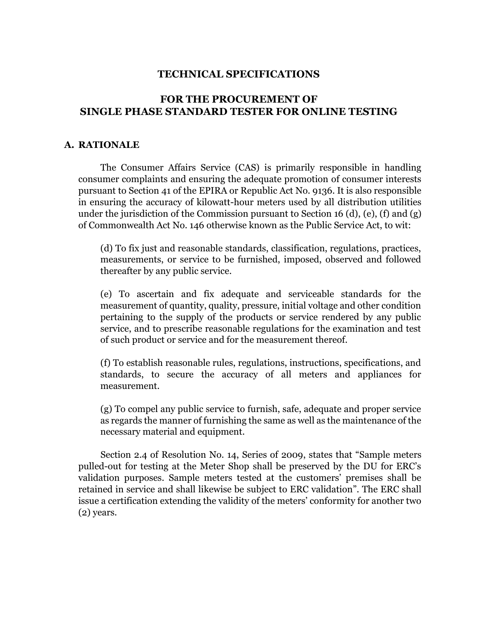## **TECHNICAL SPECIFICATIONS**

# **FOR THE PROCUREMENT OF SINGLE PHASE STANDARD TESTER FOR ONLINE TESTING**

#### **A. RATIONALE**

The Consumer Affairs Service (CAS) is primarily responsible in handling consumer complaints and ensuring the adequate promotion of consumer interests pursuant to Section 41 of the EPIRA or Republic Act No. 9136. It is also responsible in ensuring the accuracy of kilowatt-hour meters used by all distribution utilities under the jurisdiction of the Commission pursuant to Section 16 (d), (e), (f) and (g) of Commonwealth Act No. 146 otherwise known as the Public Service Act, to wit:

(d) To fix just and reasonable standards, classification, regulations, practices, measurements, or service to be furnished, imposed, observed and followed thereafter by any public service.

(e) To ascertain and fix adequate and serviceable standards for the measurement of quantity, quality, pressure, initial voltage and other condition pertaining to the supply of the products or service rendered by any public service, and to prescribe reasonable regulations for the examination and test of such product or service and for the measurement thereof.

(f) To establish reasonable rules, regulations, instructions, specifications, and standards, to secure the accuracy of all meters and appliances for measurement.

(g) To compel any public service to furnish, safe, adequate and proper service as regards the manner of furnishing the same as well as the maintenance of the necessary material and equipment.

Section 2.4 of Resolution No. 14, Series of 2009, states that "Sample meters pulled-out for testing at the Meter Shop shall be preserved by the DU for ERC's validation purposes. Sample meters tested at the customers' premises shall be retained in service and shall likewise be subject to ERC validation". The ERC shall issue a certification extending the validity of the meters' conformity for another two (2) years.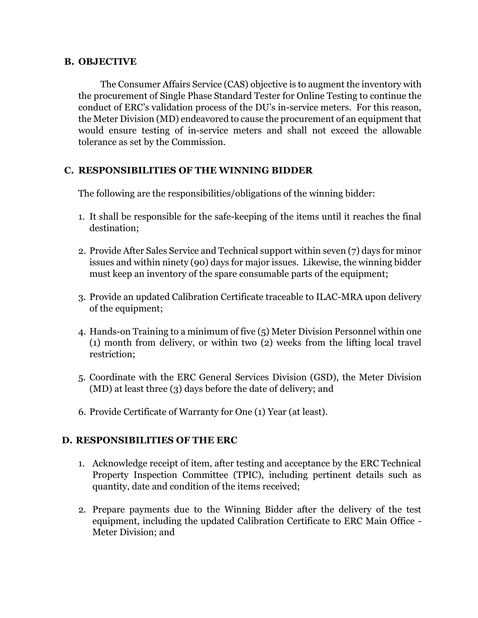### **B. OBJECTIVE**

The Consumer Affairs Service (CAS) objective is to augment the inventory with the procurement of Single Phase Standard Tester for Online Testing to continue the conduct of ERC's validation process of the DU's in-service meters. For this reason, the Meter Division (MD) endeavored to cause the procurement of an equipment that would ensure testing of in-service meters and shall not exceed the allowable tolerance as set by the Commission.

## **C. RESPONSIBILITIES OF THE WINNING BIDDER**

The following are the responsibilities/obligations of the winning bidder:

- 1. It shall be responsible for the safe-keeping of the items until it reaches the final destination;
- 2. Provide After Sales Service and Technical support within seven (7) days for minor issues and within ninety (90) days for major issues. Likewise, the winning bidder must keep an inventory of the spare consumable parts of the equipment;
- 3. Provide an updated Calibration Certificate traceable to ILAC-MRA upon delivery of the equipment;
- 4. Hands-on Training to a minimum of five (5) Meter Division Personnel within one (1) month from delivery, or within two (2) weeks from the lifting local travel restriction;
- 5. Coordinate with the ERC General Services Division (GSD), the Meter Division (MD) at least three (3) days before the date of delivery; and
- 6. Provide Certificate of Warranty for One (1) Year (at least).

## **D. RESPONSIBILITIES OF THE ERC**

- 1. Acknowledge receipt of item, after testing and acceptance by the ERC Technical Property Inspection Committee (TPIC), including pertinent details such as quantity, date and condition of the items received;
- 2. Prepare payments due to the Winning Bidder after the delivery of the test equipment, including the updated Calibration Certificate to ERC Main Office - Meter Division; and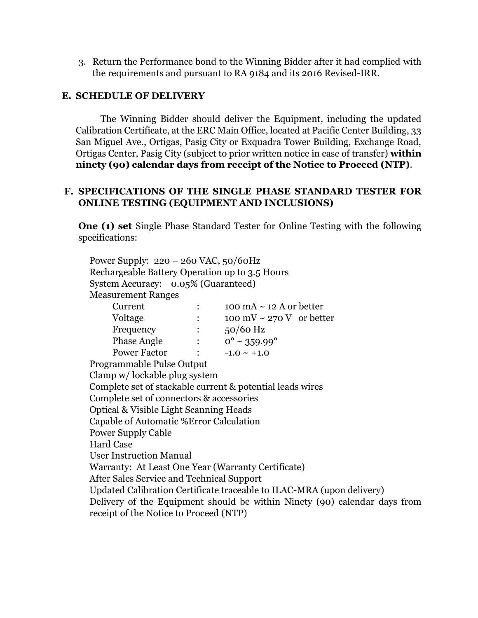3. Return the Performance bond to the Winning Bidder after it had complied with the requirements and pursuant to RA 9184 and its 2016 Revised-IRR.

### **E. SCHEDULE OF DELIVERY**

The Winning Bidder should deliver the Equipment, including the updated Calibration Certificate, at the ERC Main Office, located at Pacific Center Building, 33 San Miguel Ave., Ortigas, Pasig City or Exquadra Tower Building, Exchange Road, Ortigas Center, Pasig City (subject to prior written notice in case of transfer) **within ninety (90) calendar days from receipt of the Notice to Proceed (NTP)**.

### **F. SPECIFICATIONS OF THE SINGLE PHASE STANDARD TESTER FOR ONLINE TESTING (EQUIPMENT AND INCLUSIONS)**

**One (1) set** Single Phase Standard Tester for Online Testing with the following specifications:

Power Supply: 220 – 260 VAC, 50/60Hz Rechargeable Battery Operation up to 3.5 Hours System Accuracy: 0.05% (Guaranteed) Measurement Ranges

| Current            |                | 100 mA $\sim$ 12 A or better    |
|--------------------|----------------|---------------------------------|
| Voltage            | :              | 100 mV $\sim$ 270 V or better   |
| Frequency          |                | $50/60$ Hz                      |
| <b>Phase Angle</b> | $\ddot{\cdot}$ | $0^{\circ} \sim 359.99^{\circ}$ |
| Power Factor       |                | $-1.0 \sim +1.0$                |

Programmable Pulse Output Clamp w/ lockable plug system Complete set of stackable current & potential leads wires Complete set of connectors & accessories Optical & Visible Light Scanning Heads Capable of Automatic %Error Calculation Power Supply Cable Hard Case User Instruction Manual Warranty: At Least One Year (Warranty Certificate) After Sales Service and Technical Support Updated Calibration Certificate traceable to ILAC-MRA (upon delivery) Delivery of the Equipment should be within Ninety (90) calendar days from receipt of the Notice to Proceed (NTP)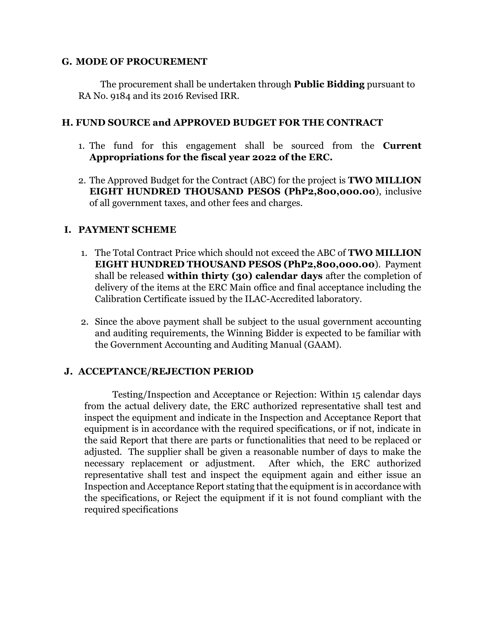#### **G. MODE OF PROCUREMENT**

The procurement shall be undertaken through **Public Bidding** pursuant to RA No. 9184 and its 2016 Revised IRR.

## **H. FUND SOURCE and APPROVED BUDGET FOR THE CONTRACT**

- 1. The fund for this engagement shall be sourced from the **Current Appropriations for the fiscal year 2022 of the ERC.**
- 2. The Approved Budget for the Contract (ABC) for the project is **TWO MILLION EIGHT HUNDRED THOUSAND PESOS (PhP2,800,000.00**), inclusive of all government taxes, and other fees and charges.

# **I. PAYMENT SCHEME**

- 1. The Total Contract Price which should not exceed the ABC of **TWO MILLION EIGHT HUNDRED THOUSAND PESOS (PhP2,800,000.00**). Payment shall be released **within thirty (30) calendar days** after the completion of delivery of the items at the ERC Main office and final acceptance including the Calibration Certificate issued by the ILAC-Accredited laboratory.
- 2. Since the above payment shall be subject to the usual government accounting and auditing requirements, the Winning Bidder is expected to be familiar with the Government Accounting and Auditing Manual (GAAM).

## **J. ACCEPTANCE/REJECTION PERIOD**

Testing/Inspection and Acceptance or Rejection: Within 15 calendar days from the actual delivery date, the ERC authorized representative shall test and inspect the equipment and indicate in the Inspection and Acceptance Report that equipment is in accordance with the required specifications, or if not, indicate in the said Report that there are parts or functionalities that need to be replaced or adjusted. The supplier shall be given a reasonable number of days to make the necessary replacement or adjustment. After which, the ERC authorized representative shall test and inspect the equipment again and either issue an Inspection and Acceptance Report stating that the equipment is in accordance with the specifications, or Reject the equipment if it is not found compliant with the required specifications